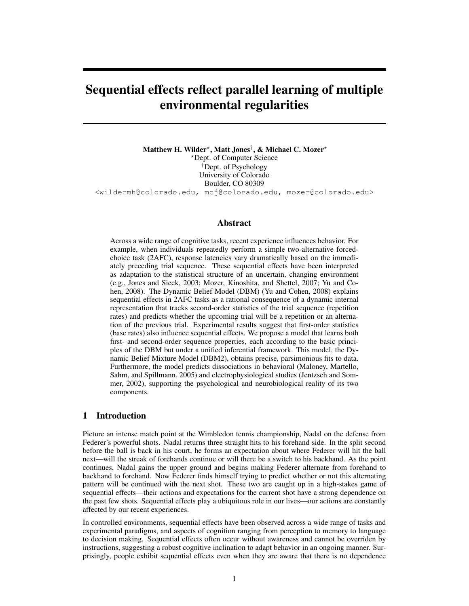# Sequential effects reflect parallel learning of multiple environmental regularities

Matthew H. Wilder\*, Matt Jones<sup>†</sup>, & Michael C. Mozer\* ?Dept. of Computer Science †Dept. of Psychology University of Colorado Boulder, CO 80309 <wildermh@colorado.edu, mcj@colorado.edu, mozer@colorado.edu>

### Abstract

Across a wide range of cognitive tasks, recent experience influences behavior. For example, when individuals repeatedly perform a simple two-alternative forcedchoice task (2AFC), response latencies vary dramatically based on the immediately preceding trial sequence. These sequential effects have been interpreted as adaptation to the statistical structure of an uncertain, changing environment (e.g., Jones and Sieck, 2003; Mozer, Kinoshita, and Shettel, 2007; Yu and Cohen, 2008). The Dynamic Belief Model (DBM) (Yu and Cohen, 2008) explains sequential effects in 2AFC tasks as a rational consequence of a dynamic internal representation that tracks second-order statistics of the trial sequence (repetition rates) and predicts whether the upcoming trial will be a repetition or an alternation of the previous trial. Experimental results suggest that first-order statistics (base rates) also influence sequential effects. We propose a model that learns both first- and second-order sequence properties, each according to the basic principles of the DBM but under a unified inferential framework. This model, the Dynamic Belief Mixture Model (DBM2), obtains precise, parsimonious fits to data. Furthermore, the model predicts dissociations in behavioral (Maloney, Martello, Sahm, and Spillmann, 2005) and electrophysiological studies (Jentzsch and Sommer, 2002), supporting the psychological and neurobiological reality of its two components.

### 1 Introduction

Picture an intense match point at the Wimbledon tennis championship, Nadal on the defense from Federer's powerful shots. Nadal returns three straight hits to his forehand side. In the split second before the ball is back in his court, he forms an expectation about where Federer will hit the ball next—will the streak of forehands continue or will there be a switch to his backhand. As the point continues, Nadal gains the upper ground and begins making Federer alternate from forehand to backhand to forehand. Now Federer finds himself trying to predict whether or not this alternating pattern will be continued with the next shot. These two are caught up in a high-stakes game of sequential effects—their actions and expectations for the current shot have a strong dependence on the past few shots. Sequential effects play a ubiquitous role in our lives—our actions are constantly affected by our recent experiences.

In controlled environments, sequential effects have been observed across a wide range of tasks and experimental paradigms, and aspects of cognition ranging from perception to memory to language to decision making. Sequential effects often occur without awareness and cannot be overriden by instructions, suggesting a robust cognitive inclination to adapt behavior in an ongoing manner. Surprisingly, people exhibit sequential effects even when they are aware that there is no dependence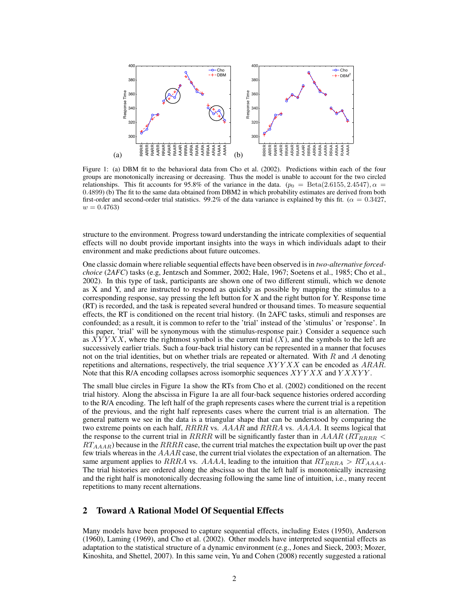

Figure 1: (a) DBM fit to the behavioral data from Cho et al. (2002). Predictions within each of the four groups are monotonically increasing or decreasing. Thus the model is unable to account for the two circled relationships. This fit accounts for 95.8% of the variance in the data.  $(p_0 = \text{Beta}(2.6155, 2.4547), \alpha =$ 0.4899) (b) The fit to the same data obtained from DBM2 in which probability estimates are derived from both first-order and second-order trial statistics. 99.2% of the data variance is explained by this fit. ( $\alpha = 0.3427$ ,  $w = 0.4763$ 

structure to the environment. Progress toward understanding the intricate complexities of sequential effects will no doubt provide important insights into the ways in which individuals adapt to their environment and make predictions about future outcomes.

One classic domain where reliable sequential effects have been observed is in *two-alternative forcedchoice* (*2AFC*) tasks (e.g, Jentzsch and Sommer, 2002; Hale, 1967; Soetens et al., 1985; Cho et al., 2002). In this type of task, participants are shown one of two different stimuli, which we denote as X and Y, and are instructed to respond as quickly as possible by mapping the stimulus to a corresponding response, say pressing the left button for X and the right button for Y. Response time (RT) is recorded, and the task is repeated several hundred or thousand times. To measure sequential effects, the RT is conditioned on the recent trial history. (In 2AFC tasks, stimuli and responses are confounded; as a result, it is common to refer to the 'trial' instead of the 'stimulus' or 'response'. In this paper, 'trial' will be synonymous with the stimulus-response pair.) Consider a sequence such as  $XYYXX$ , where the rightmost symbol is the current trial  $(X)$ , and the symbols to the left are successively earlier trials. Such a four-back trial history can be represented in a manner that focuses not on the trial identities, but on whether trials are repeated or alternated. With  $R$  and  $A$  denoting repetitions and alternations, respectively, the trial sequence  $XYYXX$  can be encoded as  $ARAR$ . Note that this R/A encoding collapses across isomorphic sequences  $XYYXX$  and  $YXXYY$ .

The small blue circles in Figure 1a show the RTs from Cho et al. (2002) conditioned on the recent trial history. Along the abscissa in Figure 1a are all four-back sequence histories ordered according to the R/A encoding. The left half of the graph represents cases where the current trial is a repetition of the previous, and the right half represents cases where the current trial is an alternation. The general pattern we see in the data is a triangular shape that can be understood by comparing the two extreme points on each half, RRRR vs. AAAR and RRRA vs. AAAA. It seems logical that the response to the current trial in RRRR will be significantly faster than in  $A A A R (RT_{RRRR} <$  $RT_{AAAR}$ ) because in the  $RRRR$  case, the current trial matches the expectation built up over the past few trials whereas in the AAAR case, the current trial violates the expectation of an alternation. The same argument applies to RRRA vs. AAAA, leading to the intuition that  $RT_{RRRA} > RT_{AAAA}$ . The trial histories are ordered along the abscissa so that the left half is monotonically increasing and the right half is monotonically decreasing following the same line of intuition, i.e., many recent repetitions to many recent alternations.

### 2 Toward A Rational Model Of Sequential Effects

Many models have been proposed to capture sequential effects, including Estes (1950), Anderson (1960), Laming (1969), and Cho et al. (2002). Other models have interpreted sequential effects as adaptation to the statistical structure of a dynamic environment (e.g., Jones and Sieck, 2003; Mozer, Kinoshita, and Shettel, 2007). In this same vein, Yu and Cohen (2008) recently suggested a rational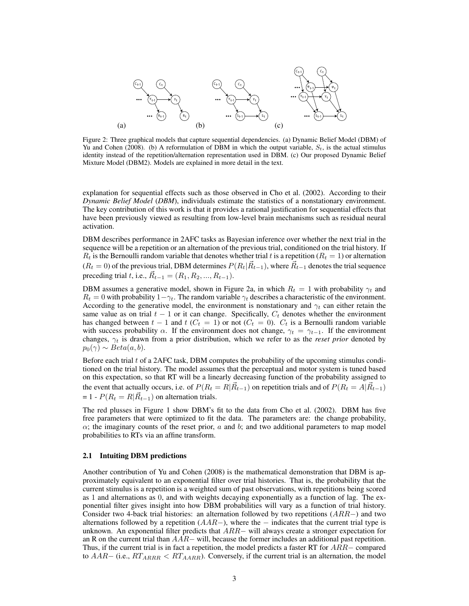

Figure 2: Three graphical models that capture sequential dependencies. (a) Dynamic Belief Model (DBM) of Yu and Cohen (2008). (b) A reformulation of DBM in which the output variable,  $S_t$ , is the actual stimulus identity instead of the repetition/alternation representation used in DBM. (c) Our proposed Dynamic Belief Mixture Model (DBM2). Models are explained in more detail in the text.

explanation for sequential effects such as those observed in Cho et al. (2002). According to their *Dynamic Belief Model* (*DBM*), individuals estimate the statistics of a nonstationary environment. The key contribution of this work is that it provides a rational justification for sequential effects that have been previously viewed as resulting from low-level brain mechanisms such as residual neural activation.

DBM describes performance in 2AFC tasks as Bayesian inference over whether the next trial in the sequence will be a repetition or an alternation of the previous trial, conditioned on the trial history. If  $R_t$  is the Bernoulli random variable that denotes whether trial t is a repetition ( $R_t = 1$ ) or alternation  $(R_t = 0)$  of the previous trial, DBM determines  $P(R_t | \vec{R}_{t-1})$ , where  $\vec{R}_{t-1}$  denotes the trial sequence preceding trial t, i.e.,  $\vec{R}_{t-1} = (R_1, R_2, ..., R_{t-1}).$ 

DBM assumes a generative model, shown in Figure 2a, in which  $R_t = 1$  with probability  $\gamma_t$  and  $R_t = 0$  with probability  $1-\gamma_t$ . The random variable  $\gamma_t$  describes a characteristic of the environment. According to the generative model, the environment is nonstationary and  $\gamma_t$  can either retain the same value as on trial  $t - 1$  or it can change. Specifically,  $C_t$  denotes whether the environment has changed between  $t - 1$  and  $t$  ( $C_t = 1$ ) or not ( $C_t = 0$ ).  $C_t$  is a Bernoulli random variable with success probability  $\alpha$ . If the environment does not change,  $\gamma_t = \gamma_{t-1}$ . If the environment changes,  $\gamma_t$  is drawn from a prior distribution, which we refer to as the *reset prior* denoted by  $p_0(\gamma) \sim Beta(a, b).$ 

Before each trial  $t$  of a 2AFC task, DBM computes the probability of the upcoming stimulus conditioned on the trial history. The model assumes that the perceptual and motor system is tuned based on this expectation, so that RT will be a linearly decreasing function of the probability assigned to the event that actually occurs, i.e. of  $P(R_t = R|\vec{R}_{t-1})$  on repetition trials and of  $P(R_t = A|\vec{R}_{t-1})$  $= 1 - P(R_t = R | \vec{R}_{t-1})$  on alternation trials.

The red plusses in Figure 1 show DBM's fit to the data from Cho et al. (2002). DBM has five free parameters that were optimized to fit the data. The parameters are: the change probability,  $\alpha$ ; the imaginary counts of the reset prior,  $\alpha$  and  $\beta$ ; and two additional parameters to map model probabilities to RTs via an affine transform.

#### 2.1 Intuiting DBM predictions

Another contribution of Yu and Cohen (2008) is the mathematical demonstration that DBM is approximately equivalent to an exponential filter over trial histories. That is, the probability that the current stimulus is a repetition is a weighted sum of past observations, with repetitions being scored as 1 and alternations as 0, and with weights decaying exponentially as a function of lag. The exponential filter gives insight into how DBM probabilities will vary as a function of trial history. Consider two 4-back trial histories: an alternation followed by two repetitions  $(ARR-)$  and two alternations followed by a repetition  $(AAR-)$ , where the – indicates that the current trial type is unknown. An exponential filter predicts that  $ARR-$  will always create a stronger expectation for an R on the current trial than  $AAR-$  will, because the former includes an additional past repetition. Thus, if the current trial is in fact a repetition, the model predicts a faster RT for  $ARR-$  compared to  $AAR-$  (i.e.,  $RT_{ARR} < RT_{AARR}$ ). Conversely, if the current trial is an alternation, the model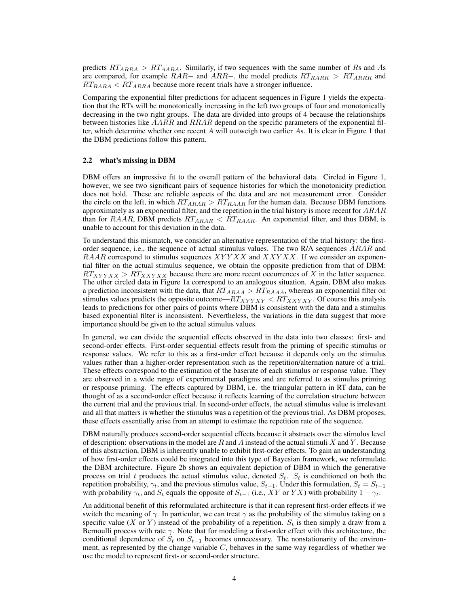predicts  $RT_{ARRA}$  >  $RT_{AARA}$ . Similarly, if two sequences with the same number of Rs and As are compared, for example RAR– and ARR–, the model predicts  $RT_{RARR} > RT_{ARR}$  and  $RT_{RARA} < RT_{ARRA}$  because more recent trials have a stronger influence.

Comparing the exponential filter predictions for adjacent sequences in Figure 1 yields the expectation that the RTs will be monotonically increasing in the left two groups of four and monotonically decreasing in the two right groups. The data are divided into groups of 4 because the relationships between histories like  $AARR$  and  $RRAR$  depend on the specific parameters of the exponential filter, which determine whether one recent A will outweigh two earlier As. It is clear in Figure 1 that the DBM predictions follow this pattern.

#### 2.2 what's missing in DBM

DBM offers an impressive fit to the overall pattern of the behavioral data. Circled in Figure 1, however, we see two significant pairs of sequence histories for which the monotonicity prediction does not hold. These are reliable aspects of the data and are not measurement error. Consider the circle on the left, in which  $RT_{ARAR} > RT_{RAAR}$  for the human data. Because DBM functions approximately as an exponential filter, and the repetition in the trial history is more recent for ARAR than for RAAR, DBM predicts  $RT_{ARAR} < RT_{RAAR}$ . An exponential filter, and thus DBM, is unable to account for this deviation in the data.

To understand this mismatch, we consider an alternative representation of the trial history: the firstorder sequence, i.e., the sequence of actual stimulus values. The two  $R/A$  sequences  $ARAR$  and  $RAAR$  correspond to stimulus sequences  $XYYXX$  and  $XXYXX$ . If we consider an exponential filter on the actual stimulus sequence, we obtain the opposite prediction from that of DBM:  $RT_{XYYXX} > RT_{XXYXX}$  because there are more recent occurrences of X in the latter sequence. The other circled data in Figure 1a correspond to an analogous situation. Again, DBM also makes a prediction inconsistent with the data, that  $RT_{ARAA} > RT_{RAAA}$ , whereas an exponential filter on stimulus values predicts the opposite outcome— $RT_{XYYXY} < RT_{XXYXY}$ . Of course this analysis leads to predictions for other pairs of points where DBM is consistent with the data and a stimulus based exponential filter is inconsistent. Nevertheless, the variations in the data suggest that more importance should be given to the actual stimulus values.

In general, we can divide the sequential effects observed in the data into two classes: first- and second-order effects. First-order sequential effects result from the priming of specific stimulus or response values. We refer to this as a first-order effect because it depends only on the stimulus values rather than a higher-order representation such as the repetition/alternation nature of a trial. These effects correspond to the estimation of the baserate of each stimulus or response value. They are observed in a wide range of experimental paradigms and are referred to as stimulus priming or response priming. The effects captured by DBM, i.e. the triangular pattern in RT data, can be thought of as a second-order effect because it reflects learning of the correlation structure between the current trial and the previous trial. In second-order effects, the actual stimulus value is irrelevant and all that matters is whether the stimulus was a repetition of the previous trial. As DBM proposes, these effects essentially arise from an attempt to estimate the repetition rate of the sequence.

DBM naturally produces second-order sequential effects because it abstracts over the stimulus level of description: observations in the model are R and A instead of the actual stimuli X and Y. Because of this abstraction, DBM is inherently unable to exhibit first-order effects. To gain an understanding of how first-order effects could be integrated into this type of Bayesian framework, we reformulate the DBM architecture. Figure 2b shows an equivalent depiction of DBM in which the generative process on trial t produces the actual stimulus value, denoted  $S_t$ .  $S_t$  is conditioned on both the repetition probability,  $\gamma_t$ , and the previous stimulus value,  $S_{t-1}$ . Under this formulation,  $S_t = S_{t-1}$ with probability  $\gamma_t$ , and  $S_t$  equals the opposite of  $S_{t-1}$  (i.e., XY or YX) with probability  $1 - \gamma_t$ .

An additional benefit of this reformulated architecture is that it can represent first-order effects if we switch the meaning of  $\gamma$ . In particular, we can treat  $\gamma$  as the probability of the stimulus taking on a specific value (X or Y) instead of the probability of a repetition.  $S_t$  is then simply a draw from a Bernoulli process with rate  $\gamma$ . Note that for modeling a first-order effect with this architecture, the conditional dependence of  $S_t$  on  $S_{t-1}$  becomes unnecessary. The nonstationarity of the environment, as represented by the change variable  $C$ , behaves in the same way regardless of whether we use the model to represent first- or second-order structure.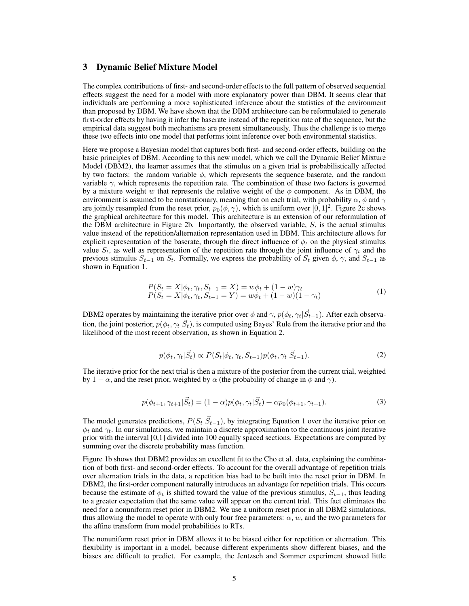#### 3 Dynamic Belief Mixture Model

The complex contributions of first- and second-order effects to the full pattern of observed sequential effects suggest the need for a model with more explanatory power than DBM. It seems clear that individuals are performing a more sophisticated inference about the statistics of the environment than proposed by DBM. We have shown that the DBM architecture can be reformulated to generate first-order effects by having it infer the baserate instead of the repetition rate of the sequence, but the empirical data suggest both mechanisms are present simultaneously. Thus the challenge is to merge these two effects into one model that performs joint inference over both environmental statistics.

Here we propose a Bayesian model that captures both first- and second-order effects, building on the basic principles of DBM. According to this new model, which we call the Dynamic Belief Mixture Model (DBM2), the learner assumes that the stimulus on a given trial is probabilistically affected by two factors: the random variable  $\phi$ , which represents the sequence baserate, and the random variable  $\gamma$ , which represents the repetition rate. The combination of these two factors is governed by a mixture weight w that represents the relative weight of the  $\phi$  component. As in DBM, the environment is assumed to be nonstationary, meaning that on each trial, with probability  $\alpha$ ,  $\phi$  and  $\gamma$ are jointly resampled from the reset prior,  $p_0(\phi, \gamma)$ , which is uniform over  $[0, 1]^2$ . Figure 2c shows the graphical architecture for this model. This architecture is an extension of our reformulation of the DBM architecture in Figure 2b. Importantly, the observed variable,  $S$ , is the actual stimulus value instead of the repetition/alternation representation used in DBM. This architecture allows for explicit representation of the baserate, through the direct influence of  $\phi_t$  on the physical stimulus value  $S_t$ , as well as representation of the repetition rate through the joint influence of  $\gamma_t$  and the previous stimulus  $S_{t-1}$  on  $S_t$ . Formally, we express the probability of  $S_t$  given  $\phi$ ,  $\gamma$ , and  $S_{t-1}$  as shown in Equation 1.

$$
P(S_t = X | \phi_t, \gamma_t, S_{t-1} = X) = w\phi_t + (1 - w)\gamma_t P(S_t = X | \phi_t, \gamma_t, S_{t-1} = Y) = w\phi_t + (1 - w)(1 - \gamma_t)
$$
\n(1)

DBM2 operates by maintaining the iterative prior over  $\phi$  and  $\gamma$ ,  $p(\phi_t, \gamma_t | \vec{S}_{t-1})$ . After each observation, the joint posterior,  $p(\phi_t, \gamma_t | \vec{S}_t)$ , is computed using Bayes' Rule from the iterative prior and the likelihood of the most recent observation, as shown in Equation 2.

$$
p(\phi_t, \gamma_t | \vec{S}_t) \propto P(S_t | \phi_t, \gamma_t, S_{t-1}) p(\phi_t, \gamma_t | \vec{S}_{t-1}).
$$
\n(2)

The iterative prior for the next trial is then a mixture of the posterior from the current trial, weighted by  $1 - \alpha$ , and the reset prior, weighted by  $\alpha$  (the probability of change in  $\phi$  and  $\gamma$ ).

$$
p(\phi_{t+1}, \gamma_{t+1}|\vec{S}_t) = (1 - \alpha)p(\phi_t, \gamma_t|\vec{S}_t) + \alpha p_0(\phi_{t+1}, \gamma_{t+1}).
$$
\n(3)

The model generates predictions,  $P(S_t|\vec{S}_{t-1})$ , by integrating Equation 1 over the iterative prior on  $\phi_t$  and  $\gamma_t$ . In our simulations, we maintain a discrete approximation to the continuous joint iterative prior with the interval [0,1] divided into 100 equally spaced sections. Expectations are computed by summing over the discrete probability mass function.

Figure 1b shows that DBM2 provides an excellent fit to the Cho et al. data, explaining the combination of both first- and second-order effects. To account for the overall advantage of repetition trials over alternation trials in the data, a repetition bias had to be built into the reset prior in DBM. In DBM2, the first-order component naturally introduces an advantage for repetition trials. This occurs because the estimate of  $\phi_t$  is shifted toward the value of the previous stimulus,  $S_{t-1}$ , thus leading to a greater expectation that the same value will appear on the current trial. This fact eliminates the need for a nonuniform reset prior in DBM2. We use a uniform reset prior in all DBM2 simulations, thus allowing the model to operate with only four free parameters:  $\alpha$ , w, and the two parameters for the affine transform from model probabilities to RTs.

The nonuniform reset prior in DBM allows it to be biased either for repetition or alternation. This flexibility is important in a model, because different experiments show different biases, and the biases are difficult to predict. For example, the Jentzsch and Sommer experiment showed little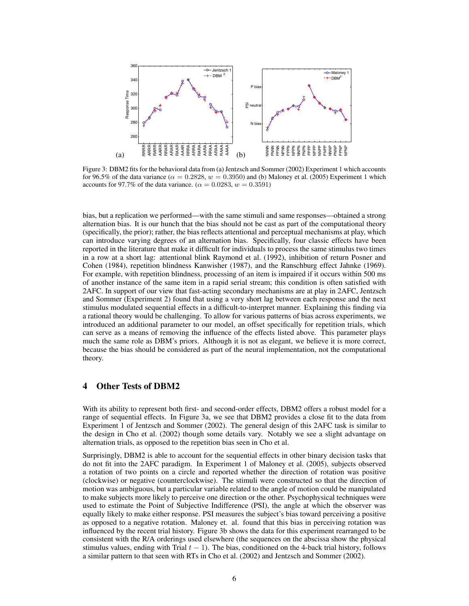

Figure 3: DBM2 fits for the behavioral data from (a) Jentzsch and Sommer (2002) Experiment 1 which accounts for 96.5% of the data variance ( $\alpha = 0.2828$ ,  $w = 0.3950$ ) and (b) Maloney et al. (2005) Experiment 1 which accounts for 97.7% of the data variance. ( $\alpha = 0.0283, w = 0.3591$ )

bias, but a replication we performed—with the same stimuli and same responses—obtained a strong alternation bias. It is our hunch that the bias should not be cast as part of the computational theory (specifically, the prior); rather, the bias reflects attentional and perceptual mechanisms at play, which can introduce varying degrees of an alternation bias. Specifically, four classic effects have been reported in the literature that make it difficult for individuals to process the same stimulus two times in a row at a short lag: attentional blink Raymond et al. (1992), inhibition of return Posner and Cohen (1984), repetition blindness Kanwisher (1987), and the Ranschburg effect Jahnke (1969). For example, with repetition blindness, processing of an item is impaired if it occurs within 500 ms of another instance of the same item in a rapid serial stream; this condition is often satisfied with 2AFC. In support of our view that fast-acting secondary mechanisms are at play in 2AFC, Jentzsch and Sommer (Experiment 2) found that using a very short lag between each response and the next stimulus modulated sequential effects in a difficult-to-interpret manner. Explaining this finding via a rational theory would be challenging. To allow for various patterns of bias across experiments, we introduced an additional parameter to our model, an offset specifically for repetition trials, which can serve as a means of removing the influence of the effects listed above. This parameter plays much the same role as DBM's priors. Although it is not as elegant, we believe it is more correct, because the bias should be considered as part of the neural implementation, not the computational theory.

## 4 Other Tests of DBM2

With its ability to represent both first- and second-order effects, DBM2 offers a robust model for a range of sequential effects. In Figure 3a, we see that DBM2 provides a close fit to the data from Experiment 1 of Jentzsch and Sommer (2002). The general design of this 2AFC task is similar to the design in Cho et al. (2002) though some details vary. Notably we see a slight advantage on alternation trials, as opposed to the repetition bias seen in Cho et al.

Surprisingly, DBM2 is able to account for the sequential effects in other binary decision tasks that do not fit into the 2AFC paradigm. In Experiment 1 of Maloney et al. (2005), subjects observed a rotation of two points on a circle and reported whether the direction of rotation was positive (clockwise) or negative (counterclockwise). The stimuli were constructed so that the direction of motion was ambiguous, but a particular variable related to the angle of motion could be manipulated to make subjects more likely to perceive one direction or the other. Psychophysical techniques were used to estimate the Point of Subjective Indifference (PSI), the angle at which the observer was equally likely to make either response. PSI measures the subject's bias toward perceiving a positive as opposed to a negative rotation. Maloney et. al. found that this bias in perceiving rotation was influenced by the recent trial history. Figure 3b shows the data for this experiment rearranged to be consistent with the R/A orderings used elsewhere (the sequences on the abscissa show the physical stimulus values, ending with Trial  $t - 1$ ). The bias, conditioned on the 4-back trial history, follows a similar pattern to that seen with RTs in Cho et al. (2002) and Jentzsch and Sommer (2002).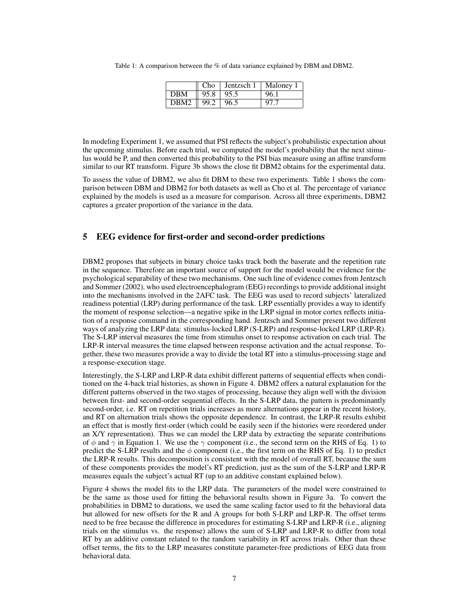|                  | Ch <sub>o</sub> | Jentzsch 1 | Maloney 1 |
|------------------|-----------------|------------|-----------|
| <b>DBM</b>       | 95.8            | 95.5       | 96. I     |
| DBM <sub>2</sub> | 99.2            | 96.5       | Q7. T     |

Table 1: A comparison between the % of data variance explained by DBM and DBM2.

In modeling Experiment 1, we assumed that PSI reflects the subject's probabilistic expectation about the upcoming stimulus. Before each trial, we computed the model's probability that the next stimulus would be P, and then converted this probability to the PSI bias measure using an affine transform similar to our RT transform. Figure 3b shows the close fit DBM2 obtains for the experimental data.

To assess the value of DBM2, we also fit DBM to these two experiments. Table 1 shows the comparison between DBM and DBM2 for both datasets as well as Cho et al. The percentage of variance explained by the models is used as a measure for comparison. Across all three experiments, DBM2 captures a greater proportion of the variance in the data.

# 5 EEG evidence for first-order and second-order predictions

DBM2 proposes that subjects in binary choice tasks track both the baserate and the repetition rate in the sequence. Therefore an important source of support for the model would be evidence for the psychological separability of these two mechanisms. One such line of evidence comes from Jentzsch and Sommer (2002), who used electroencephalogram (EEG) recordings to provide additional insight into the mechanisms involved in the 2AFC task. The EEG was used to record subjects' lateralized readiness potential (LRP) during performance of the task. LRP essentially provides a way to identify the moment of response selection—a negative spike in the LRP signal in motor cortex reflects initiation of a response command in the corresponding hand. Jentzsch and Sommer present two different ways of analyzing the LRP data: stimulus-locked LRP (S-LRP) and response-locked LRP (LRP-R). The S-LRP interval measures the time from stimulus onset to response activation on each trial. The LRP-R interval measures the time elapsed between response activation and the actual response. Together, these two measures provide a way to divide the total RT into a stimulus-processing stage and a response-execution stage.

Interestingly, the S-LRP and LRP-R data exhibit different patterns of sequential effects when conditioned on the 4-back trial histories, as shown in Figure 4. DBM2 offers a natural explanation for the different patterns observed in the two stages of processing, because they align well with the division between first- and second-order sequential effects. In the S-LRP data, the pattern is predominantly second-order, i.e. RT on repetition trials increases as more alternations appear in the recent history, and RT on alternation trials shows the opposite dependence. In contrast, the LRP-R results exhibit an effect that is mostly first-order (which could be easily seen if the histories were reordered under an X/Y representation). Thus we can model the LRP data by extracting the separate contributions of  $\phi$  and  $\gamma$  in Equation 1. We use the  $\gamma$  component (i.e., the second term on the RHS of Eq. 1) to predict the S-LRP results and the  $\phi$  component (i.e., the first term on the RHS of Eq. 1) to predict the LRP-R results. This decomposition is consistent with the model of overall RT, because the sum of these components provides the model's RT prediction, just as the sum of the S-LRP and LRP-R measures equals the subject's actual RT (up to an additive constant explained below).

Figure 4 shows the model fits to the LRP data. The parameters of the model were constrained to be the same as those used for fitting the behavioral results shown in Figure 3a. To convert the probabilities in DBM2 to durations, we used the same scaling factor used to fit the behavioral data but allowed for new offsets for the R and A groups for both S-LRP and LRP-R. The offset terms need to be free because the difference in procedures for estimating S-LRP and LRP-R (i.e., aligning trials on the stimulus vs. the response) allows the sum of S-LRP and LRP-R to differ from total RT by an additive constant related to the random variability in RT across trials. Other than these offset terms, the fits to the LRP measures constitute parameter-free predictions of EEG data from behavioral data.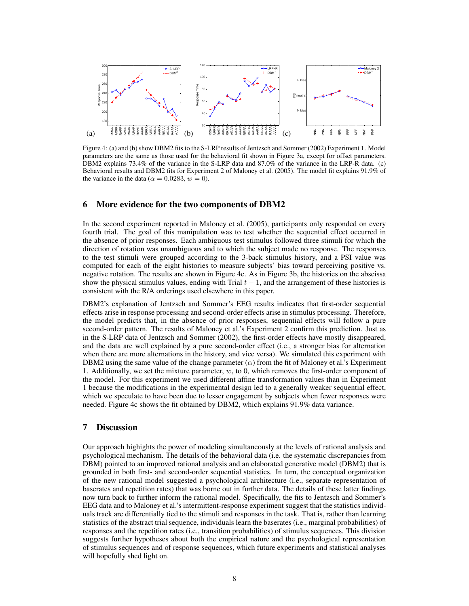

Figure 4: (a) and (b) show DBM2 fits to the S-LRP results of Jentzsch and Sommer (2002) Experiment 1. Model parameters are the same as those used for the behavioral fit shown in Figure 3a, except for offset parameters. DBM2 explains 73.4% of the variance in the S-LRP data and 87.0% of the variance in the LRP-R data. (c) Behavioral results and DBM2 fits for Experiment 2 of Maloney et al. (2005). The model fit explains 91.9% of the variance in the data ( $\alpha = 0.0283$ ,  $w = 0$ ).

#### 6 More evidence for the two components of DBM2

In the second experiment reported in Maloney et al. (2005), participants only responded on every fourth trial. The goal of this manipulation was to test whether the sequential effect occurred in the absence of prior responses. Each ambiguous test stimulus followed three stimuli for which the direction of rotation was unambiguous and to which the subject made no response. The responses to the test stimuli were grouped according to the 3-back stimulus history, and a PSI value was computed for each of the eight histories to measure subjects' bias toward perceiving positive vs. negative rotation. The results are shown in Figure 4c. As in Figure 3b, the histories on the abscissa show the physical stimulus values, ending with Trial  $t - 1$ , and the arrangement of these histories is consistent with the R/A orderings used elsewhere in this paper.

DBM2's explanation of Jentzsch and Sommer's EEG results indicates that first-order sequential effects arise in response processing and second-order effects arise in stimulus processing. Therefore, the model predicts that, in the absence of prior responses, sequential effects will follow a pure second-order pattern. The results of Maloney et al.'s Experiment 2 confirm this prediction. Just as in the S-LRP data of Jentzsch and Sommer (2002), the first-order effects have mostly disappeared, and the data are well explained by a pure second-order effect (i.e., a stronger bias for alternation when there are more alternations in the history, and vice versa). We simulated this experiment with DBM2 using the same value of the change parameter  $(\alpha)$  from the fit of Maloney et al.'s Experiment 1. Additionally, we set the mixture parameter,  $w$ , to 0, which removes the first-order component of the model. For this experiment we used different affine transformation values than in Experiment 1 because the modifications in the experimental design led to a generally weaker sequential effect, which we speculate to have been due to lesser engagement by subjects when fewer responses were needed. Figure 4c shows the fit obtained by DBM2, which explains 91.9% data variance.

#### 7 Discussion

Our approach highights the power of modeling simultaneously at the levels of rational analysis and psychological mechanism. The details of the behavioral data (i.e. the systematic discrepancies from DBM) pointed to an improved rational analysis and an elaborated generative model (DBM2) that is grounded in both first- and second-order sequential statistics. In turn, the conceptual organization of the new rational model suggested a psychological architecture (i.e., separate representation of baserates and repetition rates) that was borne out in further data. The details of these latter findings now turn back to further inform the rational model. Specifically, the fits to Jentzsch and Sommer's EEG data and to Maloney et al.'s intermittent-response experiment suggest that the statistics individuals track are differentially tied to the stimuli and responses in the task. That is, rather than learning statistics of the abstract trial sequence, individuals learn the baserates (i.e., marginal probabilities) of responses and the repetition rates (i.e., transition probabilities) of stimulus sequences. This division suggests further hypotheses about both the empirical nature and the psychological representation of stimulus sequences and of response sequences, which future experiments and statistical analyses will hopefully shed light on.